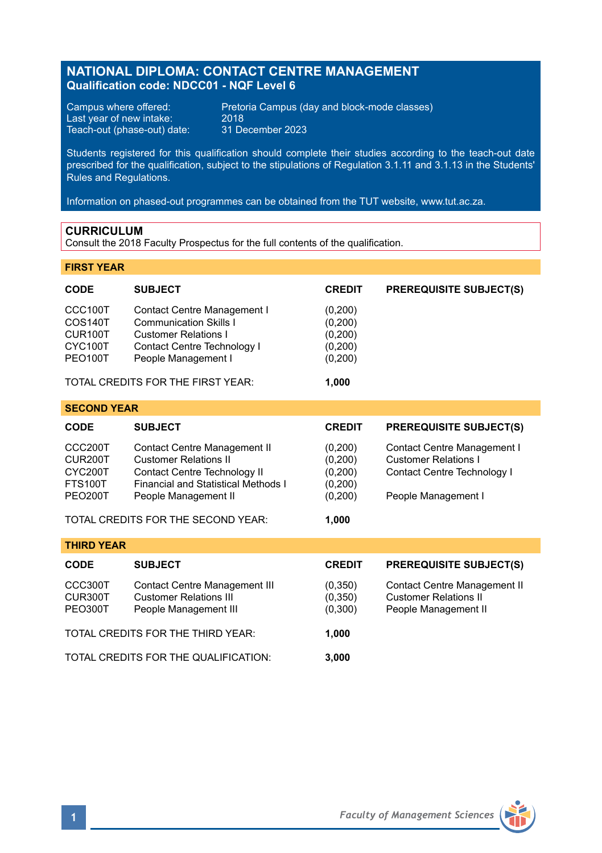# **NATIONAL DIPLOMA: CONTACT CENTRE MANAGEMENT Qualification code: NDCC01 - NQF Level 6**

Last year of new intake: 2018<br>
Teach-out (phase-out) date: 211 December 2023 Teach-out (phase-out) date:

Campus where offered: Pretoria Campus (day and block-mode classes)<br>Last year of new intake: 2018

Students registered for this qualification should complete their studies according to the teach-out date prescribed for the qualification, subject to the stipulations of Regulation 3.1.11 and 3.1.13 in the Students' Rules and Regulations.

Information on phased-out programmes can be obtained from the TUT website, www.tut.ac.za.

# **CURRICULUM**

Consult the 2018 Faculty Prospectus for the full contents of the qualification.

# **FIRST YEAR**

| CODE                                                              | <b>SUBJECT</b>                                                                                                                                                     | <b>CREDIT</b>                                        | <b>PREREQUISITE SUBJECT(S)</b>                                                                                   |
|-------------------------------------------------------------------|--------------------------------------------------------------------------------------------------------------------------------------------------------------------|------------------------------------------------------|------------------------------------------------------------------------------------------------------------------|
| CCC100T<br>COS140T<br>CUR100T<br>CYC100T<br>PEO100T               | Contact Centre Management I<br><b>Communication Skills I</b><br><b>Customer Relations I</b><br>Contact Centre Technology I<br>People Management I                  | (0,200)<br>(0, 200)<br>(0,200)<br>(0,200)<br>(0,200) |                                                                                                                  |
|                                                                   | TOTAL CREDITS FOR THE FIRST YEAR:                                                                                                                                  | 1,000                                                |                                                                                                                  |
| <b>SECOND YEAR</b>                                                |                                                                                                                                                                    |                                                      |                                                                                                                  |
| <b>CODE</b>                                                       | <b>SUBJECT</b>                                                                                                                                                     | <b>CREDIT</b>                                        | <b>PREREQUISITE SUBJECT(S)</b>                                                                                   |
| CCC200T<br>CUR200T<br>CYC200T<br><b>FTS100T</b><br><b>PEO200T</b> | Contact Centre Management II<br><b>Customer Relations II</b><br>Contact Centre Technology II<br><b>Financial and Statistical Methods I</b><br>People Management II | (0,200)<br>(0, 200)<br>(0,200)<br>(0,200)<br>(0,200) | Contact Centre Management I<br><b>Customer Relations I</b><br>Contact Centre Technology I<br>People Management I |
|                                                                   | TOTAL CREDITS FOR THE SECOND YEAR:                                                                                                                                 | 1,000                                                |                                                                                                                  |
| <b>THIRD YEAR</b>                                                 |                                                                                                                                                                    |                                                      |                                                                                                                  |
| <b>CODE</b>                                                       | <b>SUBJECT</b>                                                                                                                                                     | <b>CREDIT</b>                                        | <b>PREREQUISITE SUBJECT(S)</b>                                                                                   |
| CCC300T<br>CUR300T<br>PEO300T                                     | <b>Contact Centre Management III</b><br><b>Customer Relations III</b><br>People Management III                                                                     | (0,350)<br>(0, 350)<br>(0,300)                       | Contact Centre Management II<br><b>Customer Relations II</b><br>People Management II                             |
| TOTAL CREDITS FOR THE THIRD YEAR:<br>1,000                        |                                                                                                                                                                    |                                                      |                                                                                                                  |
|                                                                   | TOTAL CREDITS FOR THE QUALIFICATION:                                                                                                                               | 3,000                                                |                                                                                                                  |

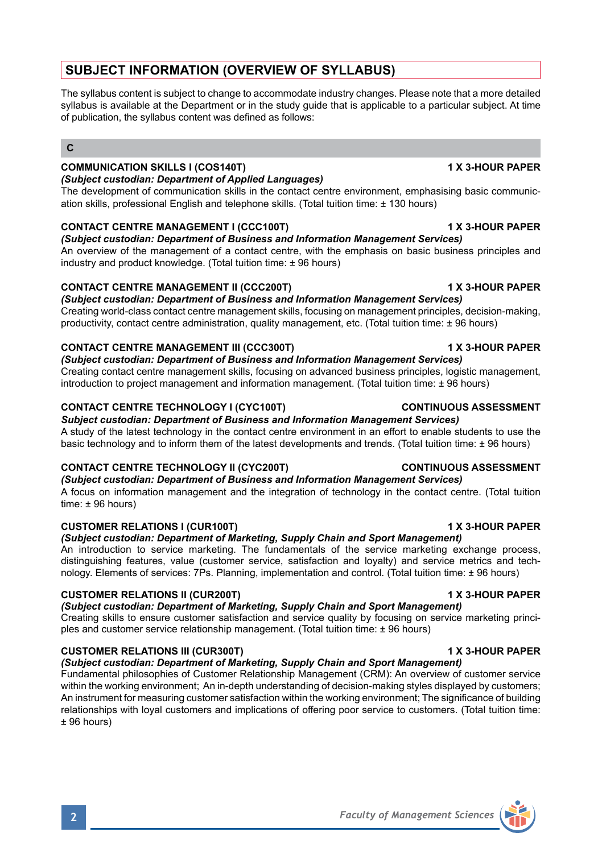# **SUBJECT INFORMATION (OVERVIEW OF SYLLABUS)**

The syllabus content is subject to change to accommodate industry changes. Please note that a more detailed syllabus is available at the Department or in the study guide that is applicable to a particular subject. At time of publication, the syllabus content was defined as follows:

# **C**

# **COMMUNICATION SKILLS I (COS140T) 1 X 3-HOUR PAPER**

### *(Subject custodian: Department of Applied Languages)*

The development of communication skills in the contact centre environment, emphasising basic communication skills, professional English and telephone skills. (Total tuition time: ± 130 hours)

# **CONTACT CENTRE MANAGEMENT I (CCC100T) 1 X 3-HOUR PAPER**

*(Subject custodian: Department of Business and Information Management Services)* An overview of the management of a contact centre, with the emphasis on basic business principles and industry and product knowledge. (Total tuition time: ± 96 hours)

# **CONTACT CENTRE MANAGEMENT II (CCC200T) 1 X 3-HOUR PAPER**

*(Subject custodian: Department of Business and Information Management Services)* Creating world-class contact centre management skills, focusing on management principles, decision-making, productivity, contact centre administration, quality management, etc. (Total tuition time: ± 96 hours)

# **CONTACT CENTRE MANAGEMENT III (CCC300T) 1 X 3-HOUR PAPER**

# *(Subject custodian: Department of Business and Information Management Services)*

Creating contact centre management skills, focusing on advanced business principles, logistic management, introduction to project management and information management. (Total tuition time: ± 96 hours)

# **CONTACT CENTRE TECHNOLOGY I (CYC100T) CONTINUOUS ASSESSMENT**

*Subject custodian: Department of Business and Information Management Services)* A study of the latest technology in the contact centre environment in an effort to enable students to use the basic technology and to inform them of the latest developments and trends. (Total tuition time: ± 96 hours)

# **CONTACT CENTRE TECHNOLOGY II (CYC200T) CONTINUOUS ASSESSMENT**

# *(Subject custodian: Department of Business and Information Management Services)*

A focus on information management and the integration of technology in the contact centre. (Total tuition time: ± 96 hours)

# **CUSTOMER RELATIONS I (CUR100T) 1 X 3-HOUR PAPER**

# *(Subject custodian: Department of Marketing, Supply Chain and Sport Management)*

An introduction to service marketing. The fundamentals of the service marketing exchange process, distinguishing features, value (customer service, satisfaction and loyalty) and service metrics and technology. Elements of services: 7Ps. Planning, implementation and control. (Total tuition time: ± 96 hours)

# **CUSTOMER RELATIONS II (CUR200T) 1 X 3-HOUR PAPER**

# *(Subject custodian: Department of Marketing, Supply Chain and Sport Management)*

Creating skills to ensure customer satisfaction and service quality by focusing on service marketing principles and customer service relationship management. (Total tuition time: ± 96 hours)

# **CUSTOMER RELATIONS III (CUR300T) 1 X 3-HOUR PAPER**

*(Subject custodian: Department of Marketing, Supply Chain and Sport Management)*

Fundamental philosophies of Customer Relationship Management (CRM): An overview of customer service within the working environment; An in-depth understanding of decision-making styles displayed by customers; An instrument for measuring customer satisfaction within the working environment; The significance of building relationships with loyal customers and implications of offering poor service to customers. (Total tuition time: ± 96 hours)